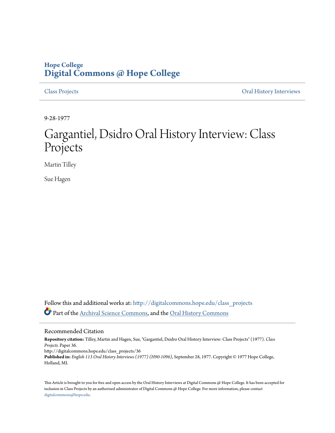## **Hope College [Digital Commons @ Hope College](http://digitalcommons.hope.edu?utm_source=digitalcommons.hope.edu%2Fclass_projects%2F36&utm_medium=PDF&utm_campaign=PDFCoverPages)**

[Class Projects](http://digitalcommons.hope.edu/class_projects?utm_source=digitalcommons.hope.edu%2Fclass_projects%2F36&utm_medium=PDF&utm_campaign=PDFCoverPages) [Oral History Interviews](http://digitalcommons.hope.edu/oral_histories?utm_source=digitalcommons.hope.edu%2Fclass_projects%2F36&utm_medium=PDF&utm_campaign=PDFCoverPages)

9-28-1977

# Gargantiel, Dsidro Oral History Interview: Class Projects

Martin Tilley

Sue Hagen

Follow this and additional works at: [http://digitalcommons.hope.edu/class\\_projects](http://digitalcommons.hope.edu/class_projects?utm_source=digitalcommons.hope.edu%2Fclass_projects%2F36&utm_medium=PDF&utm_campaign=PDFCoverPages) Part of the [Archival Science Commons,](http://network.bepress.com/hgg/discipline/1021?utm_source=digitalcommons.hope.edu%2Fclass_projects%2F36&utm_medium=PDF&utm_campaign=PDFCoverPages) and the [Oral History Commons](http://network.bepress.com/hgg/discipline/1195?utm_source=digitalcommons.hope.edu%2Fclass_projects%2F36&utm_medium=PDF&utm_campaign=PDFCoverPages)

### Recommended Citation

**Repository citation:** Tilley, Martin and Hagen, Sue, "Gargantiel, Dsidro Oral History Interview: Class Projects" (1977). *Class Projects.* Paper 36. http://digitalcommons.hope.edu/class\_projects/36 **Published in:** *English 113 Oral History Interviews (1977) (H90-1096)*, September 28, 1977. Copyright © 1977 Hope College, Holland, MI.

This Article is brought to you for free and open access by the Oral History Interviews at Digital Commons @ Hope College. It has been accepted for inclusion in Class Projects by an authorized administrator of Digital Commons @ Hope College. For more information, please contact [digitalcommons@hope.edu.](mailto:digitalcommons@hope.edu)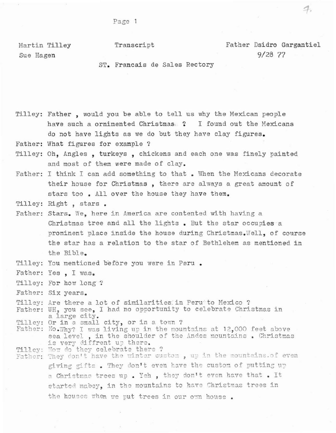Page 1

Martin Tilley Sue Hagen

Transcript

Father Dsidro Gargantiel  $9/28$  77

ST. Francais de Sales Rectory

Tilley: Father, would you be able to tell us why the Mexican people have such a ornimented Christmas. ? I found out the Mexicans do not have lights as we do but they have clay figures.

Father: What figures for example ?

- Tilley: Oh, Angles, turkeys, chickens and each one was finely painted and most of them were made of clay.
- Father: I think I can add something to that. When the Mexicans decorate their house for Christmas, there are always a great amount of stars too. All over the house they have them.
- Tilley: Right, stars.
- Father: Stars. We. here in America are contented with having a Christmas tree and all the lights. But the star occupies a prominent place inside the house during Christmas. Well, of course the star has a relation to the star of Bethlehem as mentioned in the Bible.
- Tilley: You mentioned before you were in Peru.
- Father: Yes, I was.
- Tilley: For how long ?
- Father: Six years.

Tilley: Are there a lot of similarities in Peru to Mexico ? Father: UH, you see, I had no opportunity to celebrate Christmas in a large city.

Tilley: Or in a small city, or in a town ?

- Father: No.Why? I was living up in the mountains at 12,000 feet above sea level, in the shoulder of the Andes mountains. Christmas is very diffrent up there.
- Tilley: How do they celebrate there ?<br>Father: They don't have the winter custom, up in the mountains.of even giving gifts. They don't even have the custom of putting up a Christmas trees up. Yeh, they don't even have that. It started mabey, in the mountains to have Christmas trees in the houses when we put trees in our own house.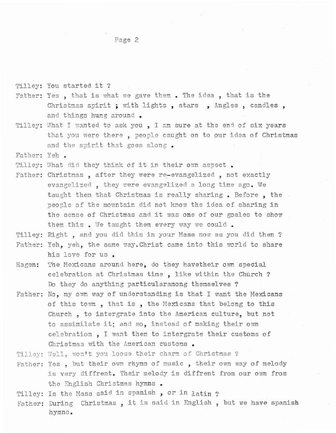### Page 2

Tilley: You started it ?

- Father: Yes, that is what we gave them. The idea, that is the Christmas spirit; with lights, stars, Angles, candles, and things hung around.
- Tilley: What I wanted to ask you , I am sure at the end of six years that you were there, people caught on to our idea of Christmas and the spirit that goes along.

Father: Yeh .

Tilley: What did they think of it in their own aspect.

- Father: Christmas, after they were re-evangelized, not exactly evangelized, they were evangelized a long time ago. We taught them that Christmas is really sharing • Before , the people of the mountain did not know the idea of sharing in the sense of Christmas and it was one of our goales to show them this. We taught them every way we could.
- Tilley: Right, and you did this in your Mass now as you did then ?
- Father: Yeh, yeh, the same way. Christ came into this world to share his love for us.
- Hagen: The Mexicans around here, do they havetheir ovm special celebration at Christmas time, like within the Church? Do they do anything particularamong themselves ?
- Father: No, my ovm way of understanding is that <sup>I</sup> want the Mexicans of this town, that is, the Mexicans that belong to this Church, to intergrate into the American CUlture, but not to assimilate it; and so, instead of making their ovm celebration, I want them to intergrate their customs of Christmas with the American customs.
- Tilley: Well, won't you loose their charm of Christmas ?
- Father: Yes , but their own rhymn of music , their own way of melody is very diffrent. Their melody is diffrent from our own from the English Christmas hymns •

Tilley: Is the Mass said in spanish, or in latin ?

Father: During Christmas, it is said in English , but we have spanish hymns.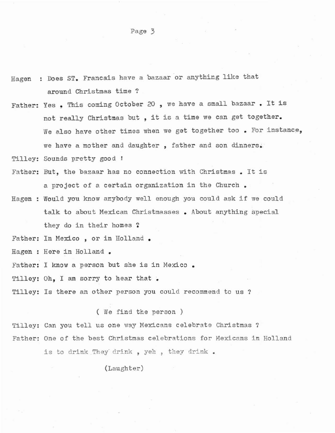Hagen : Does ST. Francais have a bazaar or anything like that **around Christmas time ?**

Page 3

- **Father: Yes <sup>t</sup> This coming October <sup>20</sup> , we have <sup>a</sup> small bazaar • It is** not really Christmas but , it is <sup>a</sup> time we can get together. **We also have other times when we get together too • For instance, we have a mother and daughter , father and son dinners.**
- Tilley: Sounds pretty good !
- **Father: But, the bazaar has no connection \rith Christmas. It is a project of a certain organization in the Church •**
- **Hagen Would you know anybody well enough you could ask if we could talk to about Mexican Christrnasses • About anything special** they do in their homes *Z*

Father: In Mexico, or in Holland.

**Hagen : Here in Holland •**

**Father: <sup>I</sup> know <sup>a</sup> person but she is in Mexico •**

Tilley: Oh, I am sorry to hear that.

**Tilley: Is there an other person you could recommend to us ?**

( We find the person )

**Tilley: Can you tell us one way Mexicans celebrate Christmas ? Father: One of the best Christmas celebrations for Mexicans in Holland**

**is to drink They· drink , yeh , they drink •**

(Laughter)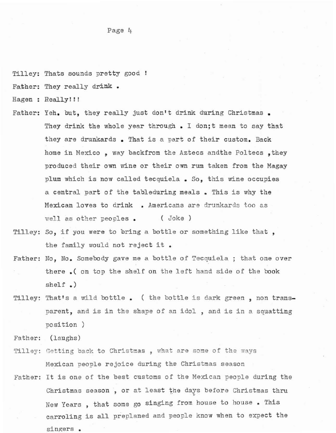Tilley: Thats sounds pretty good !

Father: They really drink •

**Hagen: Really!!!**

- Father: Yeh. but, they really just don't drink during Christmas. **They drink the whole year through. I don;t mean to say that they are drunkards • 1nat is <sup>a</sup> part of their custom. Back home in Mexico, way** backfrom **the Aztecs andthe** Poltees **,they produced their own fane or their own rum taken from the Hagay plum which is now called tecquiela • So, this** *vane* **occupies <sup>a</sup> central part of the tableduring meals • This is why the Mexican loves to drink • Americans are drurutards too as well as other peoples • ( Joke )**
- **Tilley: So, if you were to bring <sup>a</sup> bottle or something like that,** the family would not reject it.
- **Father: No, No. Somebody gave me a bottle of Tecquiela ; that one over** there .( on top the shelf on the left hand side of the book shelf .)
- Tilley: That's a wild bottle. ( the bottle is dark green, non trans**parent, and is in the shape of an idol , and is in <sup>a</sup> squatting** position )

Father: (laughs)

- **Tilley: Cetting back to Christcas , what are some of the ways Mexican people rejoice during the Christmas season**
- **Father: It is one of the best customs of the Mexican people during the Christmas season , or at least the days before Christmas thru** , . **New Years , that some go singing from house to house • This** carroling **is all preplaned and people know when to expect the** singers .

Page 4